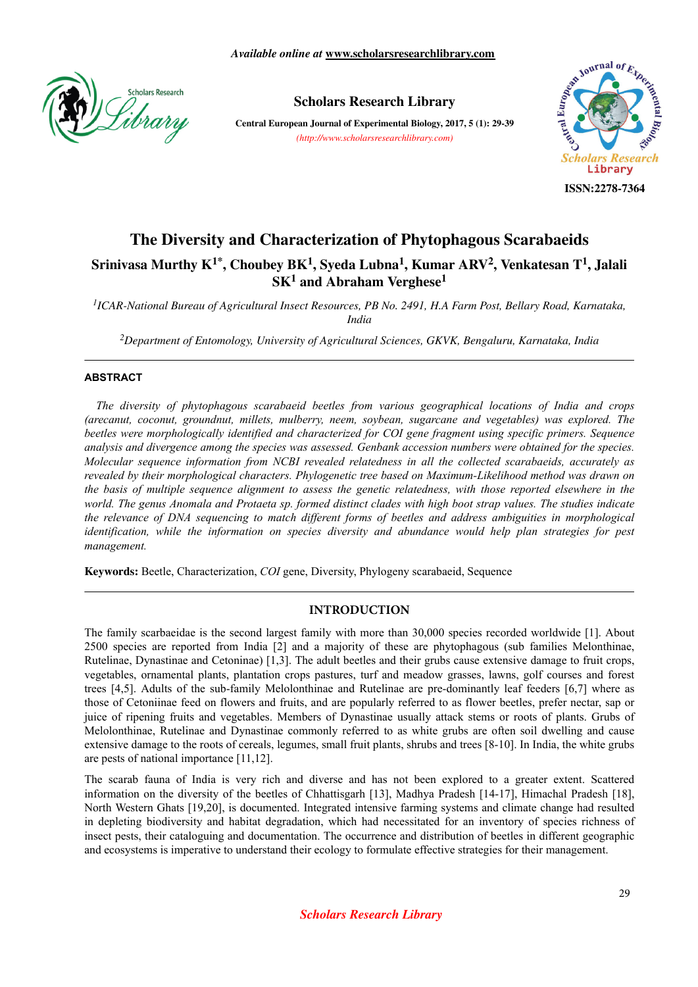

# **Scholars Research Library**

**Central European Journal of Experimental Biology, 2017, 5 (1): 29-39** *(http://www.scholarsresearchlibrary.com)*



#### **ISSN:2278-7364**

# **The Diversity and Characterization of Phytophagous Scarabaeids Srinivasa Murthy K1\*, Choubey BK<sup>1</sup> , Syeda Lubna<sup>1</sup> , Kumar ARV<sup>2</sup> , Venkatesan T<sup>1</sup> , Jalali SK<sup>1</sup> and Abraham Verghese<sup>1</sup>**

*1 ICAR-National Bureau of Agricultural Insect Resources, PB No. 2491, H.A Farm Post, Bellary Road, Karnataka, India*

*<sup>2</sup>Department of Entomology, University of Agricultural Sciences, GKVK, Bengaluru, Karnataka, India*

#### **ABSTRACT**

*The diversity of phytophagous scarabaeid beetles from various geographical locations of India and crops (arecanut, coconut, groundnut, millets, mulberry, neem, soybean, sugarcane and vegetables) was explored. The beetles were morphologically identified and characterized for COI gene fragment using specific primers. Sequence analysis and divergence among the species was assessed. Genbank accession numbers were obtained for the species. Molecular sequence information from NCBI revealed relatedness in all the collected scarabaeids, accurately as revealed by their morphological characters. Phylogenetic tree based on Maximum-Likelihood method was drawn on the basis of multiple sequence alignment to assess the genetic relatedness, with those reported elsewhere in the world. The genus Anomala and Protaeta sp. formed distinct clades with high boot strap values. The studies indicate the relevance of DNA sequencing to match different forms of beetles and address ambiguities in morphological identification, while the information on species diversity and abundance would help plan strategies for pest management.*

**Keywords:** Beetle, Characterization, *COI* gene, Diversity, Phylogeny scarabaeid, Sequence

## **INTRODUCTION**

The family scarbaeidae is the second largest family with more than 30,000 species recorded worldwide [1]. About 2500 species are reported from India [2] and a majority of these are phytophagous (sub families Melonthinae, Rutelinae, Dynastinae and Cetoninae) [1,3]. The adult beetles and their grubs cause extensive damage to fruit crops, vegetables, ornamental plants, plantation crops pastures, turf and meadow grasses, lawns, golf courses and forest trees [4,5]. Adults of the sub-family Melolonthinae and Rutelinae are pre-dominantly leaf feeders [6,7] where as those of Cetoniinae feed on flowers and fruits, and are popularly referred to as flower beetles, prefer nectar, sap or juice of ripening fruits and vegetables. Members of Dynastinae usually attack stems or roots of plants. Grubs of Melolonthinae, Rutelinae and Dynastinae commonly referred to as white grubs are often soil dwelling and cause extensive damage to the roots of cereals, legumes, small fruit plants, shrubs and trees [8-10]. In India, the white grubs are pests of national importance [11,12].

The scarab fauna of India is very rich and diverse and has not been explored to a greater extent. Scattered information on the diversity of the beetles of Chhattisgarh [13], Madhya Pradesh [14-17], Himachal Pradesh [18], North Western Ghats [19,20], is documented. Integrated intensive farming systems and climate change had resulted in depleting biodiversity and habitat degradation, which had necessitated for an inventory of species richness of insect pests, their cataloguing and documentation. The occurrence and distribution of beetles in different geographic and ecosystems is imperative to understand their ecology to formulate effective strategies for their management.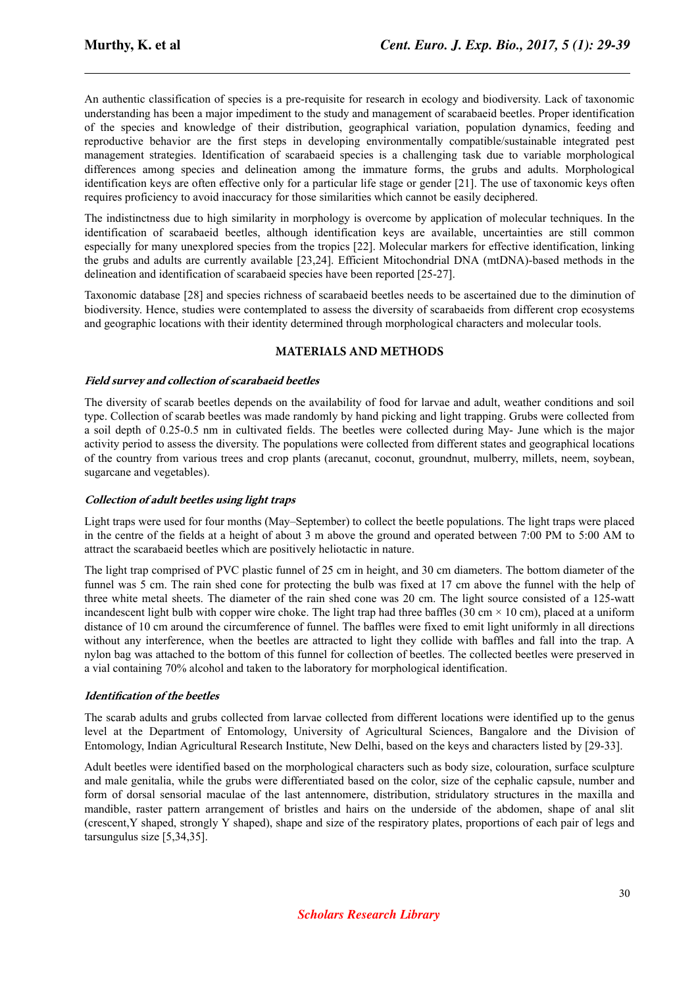An authentic classification of species is a pre-requisite for research in ecology and biodiversity. Lack of taxonomic understanding has been a major impediment to the study and management of scarabaeid beetles. Proper identification of the species and knowledge of their distribution, geographical variation, population dynamics, feeding and reproductive behavior are the first steps in developing environmentally compatible/sustainable integrated pest management strategies. Identification of scarabaeid species is a challenging task due to variable morphological differences among species and delineation among the immature forms, the grubs and adults. Morphological identification keys are often effective only for a particular life stage or gender [21]. The use of taxonomic keys often requires proficiency to avoid inaccuracy for those similarities which cannot be easily deciphered.

The indistinctness due to high similarity in morphology is overcome by application of molecular techniques. In the identification of scarabaeid beetles, although identification keys are available, uncertainties are still common especially for many unexplored species from the tropics [22]. Molecular markers for effective identification, linking the grubs and adults are currently available [23,24]. Efficient Mitochondrial DNA (mtDNA)-based methods in the delineation and identification of scarabaeid species have been reported [25-27].

Taxonomic database [28] and species richness of scarabaeid beetles needs to be ascertained due to the diminution of biodiversity. Hence, studies were contemplated to assess the diversity of scarabaeids from different crop ecosystems and geographic locations with their identity determined through morphological characters and molecular tools.

## **MATERIALS AND METHODS**

#### **Field survey and collection of scarabaeid beetles**

The diversity of scarab beetles depends on the availability of food for larvae and adult, weather conditions and soil type. Collection of scarab beetles was made randomly by hand picking and light trapping. Grubs were collected from a soil depth of 0.25-0.5 nm in cultivated fields. The beetles were collected during May- June which is the major activity period to assess the diversity. The populations were collected from different states and geographical locations of the country from various trees and crop plants (arecanut, coconut, groundnut, mulberry, millets, neem, soybean, sugarcane and vegetables).

#### **Collection of adult beetles using light traps**

Light traps were used for four months (May–September) to collect the beetle populations. The light traps were placed in the centre of the fields at a height of about 3 m above the ground and operated between 7:00 PM to 5:00 AM to attract the scarabaeid beetles which are positively heliotactic in nature.

The light trap comprised of PVC plastic funnel of 25 cm in height, and 30 cm diameters. The bottom diameter of the funnel was 5 cm. The rain shed cone for protecting the bulb was fixed at 17 cm above the funnel with the help of three white metal sheets. The diameter of the rain shed cone was 20 cm. The light source consisted of a 125-watt incandescent light bulb with copper wire choke. The light trap had three baffles (30 cm  $\times$  10 cm), placed at a uniform distance of 10 cm around the circumference of funnel. The baffles were fixed to emit light uniformly in all directions without any interference, when the beetles are attracted to light they collide with baffles and fall into the trap. A nylon bag was attached to the bottom of this funnel for collection of beetles. The collected beetles were preserved in a vial containing 70% alcohol and taken to the laboratory for morphological identification.

#### **Identification of the beetles**

The scarab adults and grubs collected from larvae collected from different locations were identified up to the genus level at the Department of Entomology, University of Agricultural Sciences, Bangalore and the Division of Entomology, Indian Agricultural Research Institute, New Delhi, based on the keys and characters listed by [29-33].

Adult beetles were identified based on the morphological characters such as body size, colouration, surface sculpture and male genitalia, while the grubs were differentiated based on the color, size of the cephalic capsule, number and form of dorsal sensorial maculae of the last antennomere, distribution, stridulatory structures in the maxilla and mandible, raster pattern arrangement of bristles and hairs on the underside of the abdomen, shape of anal slit (crescent,Y shaped, strongly Y shaped), shape and size of the respiratory plates, proportions of each pair of legs and tarsungulus size [5,34,35].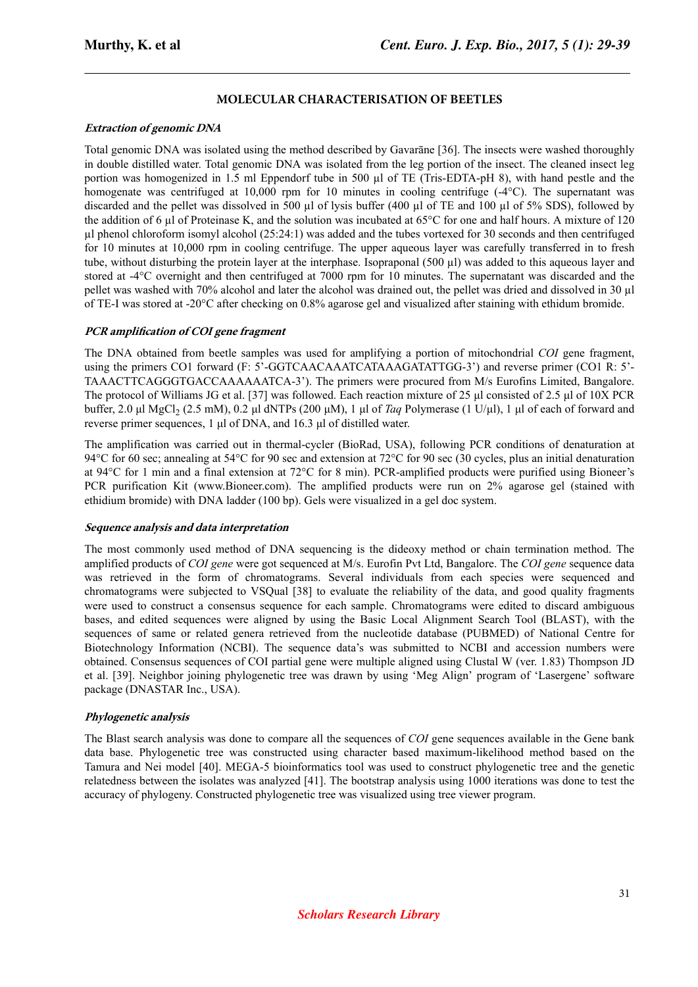# **MOLECULAR CHARACTERISATION OF BEETLES**

## **Extraction of genomic DNA**

Total genomic DNA was isolated using the method described by Gavarāne [36]. The insects were washed thoroughly in double distilled water. Total genomic DNA was isolated from the leg portion of the insect. The cleaned insect leg portion was homogenized in 1.5 ml Eppendorf tube in 500 µl of TE (Tris-EDTA-pH 8), with hand pestle and the homogenate was centrifuged at 10,000 rpm for 10 minutes in cooling centrifuge  $(-4^{\circ}C)$ . The supernatant was discarded and the pellet was dissolved in 500 µl of lysis buffer (400 µl of TE and 100 µl of 5% SDS), followed by the addition of 6  $\mu$ l of Proteinase K, and the solution was incubated at 65 $\degree$ C for one and half hours. A mixture of 120 µl phenol chloroform isomyl alcohol (25:24:1) was added and the tubes vortexed for 30 seconds and then centrifuged for 10 minutes at 10,000 rpm in cooling centrifuge. The upper aqueous layer was carefully transferred in to fresh tube, without disturbing the protein layer at the interphase. Isopraponal (500 µl) was added to this aqueous layer and stored at -4°C overnight and then centrifuged at 7000 rpm for 10 minutes. The supernatant was discarded and the pellet was washed with 70% alcohol and later the alcohol was drained out, the pellet was dried and dissolved in 30 µl of TE-I was stored at -20°C after checking on 0.8% agarose gel and visualized after staining with ethidum bromide.

## **PCR** amplification of COI gene fragment

The DNA obtained from beetle samples was used for amplifying a portion of mitochondrial *COI* gene fragment, using the primers CO1 forward (F: 5'-GGTCAACAAATCATAAAGATATTGG-3') and reverse primer (CO1 R: 5'- TAAACTTCAGGGTGACCAAAAAATCA-3'). The primers were procured from M/s Eurofins Limited, Bangalore. The protocol of Williams JG et al. [37] was followed. Each reaction mixture of 25 μl consisted of 2.5 μl of 10X PCR buffer, 2.0 μl MgCl<sub>2</sub> (2.5 mM), 0.2 μl dNTPs (200 μM), 1 μl of *Taq* Polymerase (1 U/μl), 1 μl of each of forward and reverse primer sequences, 1 μl of DNA, and 16.3 μl of distilled water.

The amplification was carried out in thermal-cycler (BioRad, USA), following PCR conditions of denaturation at 94°C for 60 sec; annealing at 54°C for 90 sec and extension at 72°C for 90 sec (30 cycles, plus an initial denaturation at 94°C for 1 min and a final extension at 72°C for 8 min). PCR-amplified products were purified using Bioneer's PCR purification Kit (www.Bioneer.com). The amplified products were run on 2% agarose gel (stained with ethidium bromide) with DNA ladder (100 bp). Gels were visualized in a gel doc system.

#### **Sequence analysis and data interpretation**

The most commonly used method of DNA sequencing is the dideoxy method or chain termination method. The amplified products of *COI gene* were got sequenced at M/s. Eurofin Pvt Ltd, Bangalore. The *COI gene* sequence data was retrieved in the form of chromatograms. Several individuals from each species were sequenced and chromatograms were subjected to VSQual [38] to evaluate the reliability of the data, and good quality fragments were used to construct a consensus sequence for each sample. Chromatograms were edited to discard ambiguous bases, and edited sequences were aligned by using the Basic Local Alignment Search Tool (BLAST), with the sequences of same or related genera retrieved from the nucleotide database (PUBMED) of National Centre for Biotechnology Information (NCBI). The sequence data's was submitted to NCBI and accession numbers were obtained. Consensus sequences of COI partial gene were multiple aligned using Clustal W (ver. 1.83) Thompson JD et al. [39]. Neighbor joining phylogenetic tree was drawn by using 'Meg Align' program of 'Lasergene' software package (DNASTAR Inc., USA).

#### **Phylogenetic analysis**

The Blast search analysis was done to compare all the sequences of *COI* gene sequences available in the Gene bank data base. Phylogenetic tree was constructed using character based maximum-likelihood method based on the Tamura and Nei model [40]. MEGA-5 bioinformatics tool was used to construct phylogenetic tree and the genetic relatedness between the isolates was analyzed [41]. The bootstrap analysis using 1000 iterations was done to test the accuracy of phylogeny. Constructed phylogenetic tree was visualized using tree viewer program.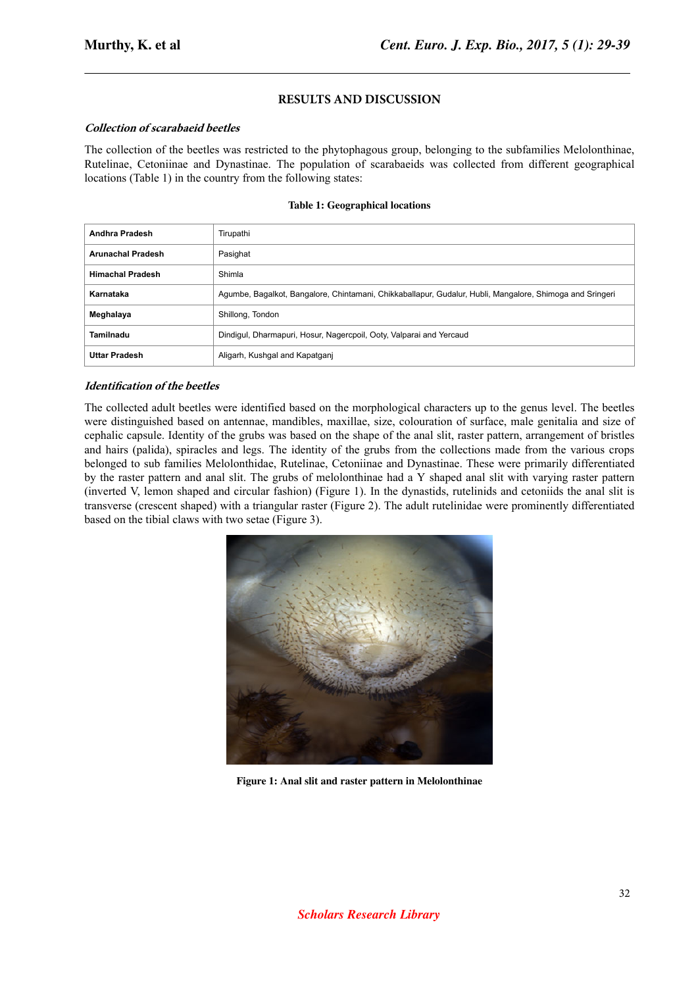## **RESULTS AND DISCUSSION**

#### **Collection of scarabaeid beetles**

The collection of the beetles was restricted to the phytophagous group, belonging to the subfamilies Melolonthinae, Rutelinae, Cetoniinae and Dynastinae. The population of scarabaeids was collected from different geographical locations (Table 1) in the country from the following states:

#### **Table 1: Geographical locations**

| Andhra Pradesh           | Tirupathi                                                                                                |
|--------------------------|----------------------------------------------------------------------------------------------------------|
| <b>Arunachal Pradesh</b> | Pasighat                                                                                                 |
| <b>Himachal Pradesh</b>  | Shimla                                                                                                   |
| Karnataka                | Agumbe, Bagalkot, Bangalore, Chintamani, Chikkaballapur, Gudalur, Hubli, Mangalore, Shimoga and Sringeri |
| Meghalaya                | Shillong, Tondon                                                                                         |
| Tamilnadu                | Dindigul, Dharmapuri, Hosur, Nagercpoil, Ooty, Valparai and Yercaud                                      |
| <b>Uttar Pradesh</b>     | Aligarh, Kushgal and Kapatganj                                                                           |

#### *<u>Identification</u>* of the beetles

The collected adult beetles were identified based on the morphological characters up to the genus level. The beetles were distinguished based on antennae, mandibles, maxillae, size, colouration of surface, male genitalia and size of cephalic capsule. Identity of the grubs was based on the shape of the anal slit, raster pattern, arrangement of bristles and hairs (palida), spiracles and legs. The identity of the grubs from the collections made from the various crops belonged to sub families Melolonthidae, Rutelinae, Cetoniinae and Dynastinae. These were primarily differentiated by the raster pattern and anal slit. The grubs of melolonthinae had a Y shaped anal slit with varying raster pattern (inverted V, lemon shaped and circular fashion) (Figure 1). In the dynastids, rutelinids and cetoniids the anal slit is transverse (crescent shaped) with a triangular raster (Figure 2). The adult rutelinidae were prominently differentiated based on the tibial claws with two setae (Figure 3).



**Figure 1: Anal slit and raster pattern in Melolonthinae**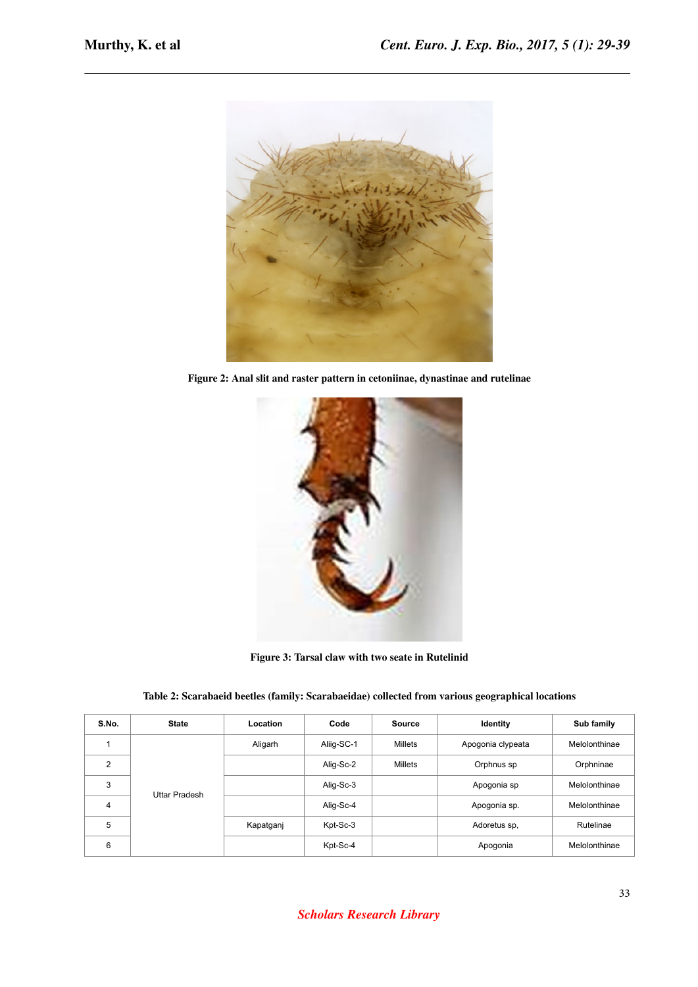

**Figure 2: Anal slit and raster pattern in cetoniinae, dynastinae and rutelinae**



**Figure 3: Tarsal claw with two seate in Rutelinid**

| Table 2: Scarabaeid beetles (family: Scarabaeidae) collected from various geographical locations |  |
|--------------------------------------------------------------------------------------------------|--|
|                                                                                                  |  |

| S.No.          | <b>State</b>  | Location  | Code       | Source  | Identity          | Sub family    |
|----------------|---------------|-----------|------------|---------|-------------------|---------------|
|                |               | Aligarh   | Aliig-SC-1 | Millets | Apogonia clypeata | Melolonthinae |
| $\mathfrak{p}$ |               |           | Alig-Sc-2  | Millets | Orphnus sp        | Orphninae     |
| 3              | Uttar Pradesh |           | Alig-Sc-3  |         | Apogonia sp       | Melolonthinae |
| $\overline{4}$ |               |           | Alig-Sc-4  |         | Apogonia sp.      | Melolonthinae |
| 5              |               | Kapatganj | Kpt-Sc-3   |         | Adoretus sp,      | Rutelinae     |
| 6              |               |           | Kpt-Sc-4   |         | Apogonia          | Melolonthinae |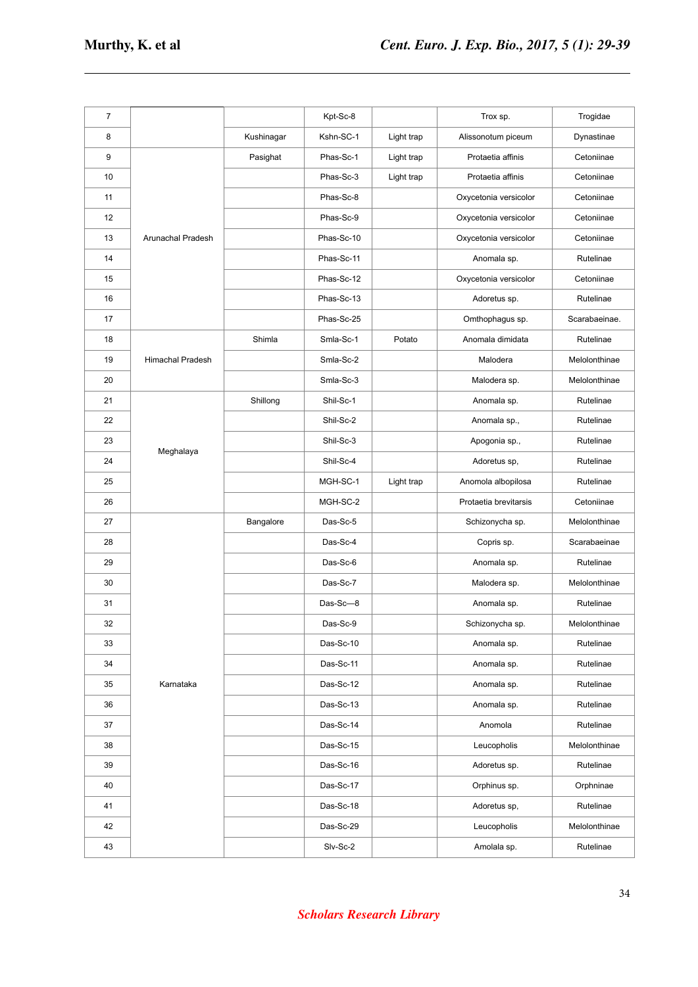| $\overline{7}$ |                         |            | Kpt-Sc-8   |            | Trox sp.              | Trogidae      |
|----------------|-------------------------|------------|------------|------------|-----------------------|---------------|
| 8              |                         | Kushinagar | Kshn-SC-1  | Light trap | Alissonotum piceum    | Dynastinae    |
| 9              |                         | Pasighat   | Phas-Sc-1  | Light trap | Protaetia affinis     | Cetoniinae    |
| 10             |                         |            | Phas-Sc-3  | Light trap | Protaetia affinis     | Cetoniinae    |
| 11             |                         |            | Phas-Sc-8  |            | Oxycetonia versicolor | Cetoniinae    |
| 12             |                         |            | Phas-Sc-9  |            | Oxycetonia versicolor | Cetoniinae    |
| 13             | Arunachal Pradesh       |            | Phas-Sc-10 |            | Oxycetonia versicolor | Cetoniinae    |
| 14             |                         |            | Phas-Sc-11 |            | Anomala sp.           | Rutelinae     |
| 15             |                         |            | Phas-Sc-12 |            | Oxycetonia versicolor | Cetoniinae    |
| 16             |                         |            | Phas-Sc-13 |            | Adoretus sp.          | Rutelinae     |
| 17             |                         |            | Phas-Sc-25 |            | Omthophagus sp.       | Scarabaeinae. |
| 18             |                         | Shimla     | Smla-Sc-1  | Potato     | Anomala dimidata      | Rutelinae     |
| 19             | <b>Himachal Pradesh</b> |            | Smla-Sc-2  |            | Malodera              | Melolonthinae |
| 20             |                         |            | Smla-Sc-3  |            | Malodera sp.          | Melolonthinae |
| 21             |                         | Shillong   | Shil-Sc-1  |            | Anomala sp.           | Rutelinae     |
| 22             |                         |            | Shil-Sc-2  |            | Anomala sp.,          | Rutelinae     |
| 23             |                         |            | Shil-Sc-3  |            | Apogonia sp.,         | Rutelinae     |
| 24             | Meghalaya               |            | Shil-Sc-4  |            | Adoretus sp,          | Rutelinae     |
| 25             |                         |            | MGH-SC-1   | Light trap | Anomola albopilosa    | Rutelinae     |
| 26             |                         |            | MGH-SC-2   |            | Protaetia brevitarsis | Cetoniinae    |
| 27             |                         | Bangalore  | Das-Sc-5   |            | Schizonycha sp.       | Melolonthinae |
| 28             |                         |            | Das-Sc-4   |            | Copris sp.            | Scarabaeinae  |
| 29             |                         |            | Das-Sc-6   |            | Anomala sp.           | Rutelinae     |
| 30             |                         |            | Das-Sc-7   |            | Malodera sp.          | Melolonthinae |
| 31             |                         |            | Das-Sc-8   |            | Anomala sp.           | Rutelinae     |
| 32             |                         |            | Das-Sc-9   |            | Schizonycha sp.       | Melolonthinae |
| 33             |                         |            | Das-Sc-10  |            | Anomala sp.           | Rutelinae     |
| 34             |                         |            | Das-Sc-11  |            | Anomala sp.           | Rutelinae     |
| 35             | Karnataka               |            | Das-Sc-12  |            | Anomala sp.           | Rutelinae     |
| 36             |                         |            | Das-Sc-13  |            | Anomala sp.           | Rutelinae     |
| 37             |                         |            | Das-Sc-14  |            | Anomola               | Rutelinae     |
| 38             |                         |            | Das-Sc-15  |            | Leucopholis           | Melolonthinae |
| 39             |                         |            | Das-Sc-16  |            | Adoretus sp.          | Rutelinae     |
| 40             |                         |            | Das-Sc-17  |            | Orphinus sp.          | Orphninae     |
| 41             |                         |            | Das-Sc-18  |            | Adoretus sp,          | Rutelinae     |
| 42             |                         |            | Das-Sc-29  |            | Leucopholis           | Melolonthinae |
| 43             |                         |            | Slv-Sc-2   |            | Amolala sp.           | Rutelinae     |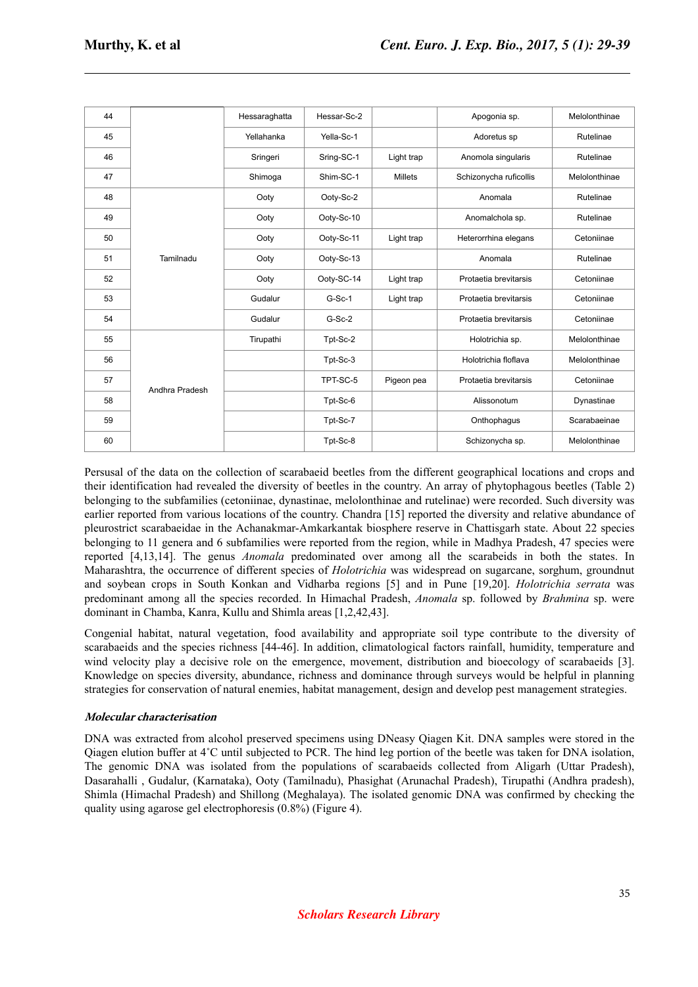| 44 |                | Hessaraghatta | Hessar-Sc-2 |            | Apogonia sp.           | Melolonthinae |
|----|----------------|---------------|-------------|------------|------------------------|---------------|
| 45 |                | Yellahanka    | Yella-Sc-1  |            | Adoretus sp            | Rutelinae     |
| 46 |                | Sringeri      | Sring-SC-1  | Light trap | Anomola singularis     | Rutelinae     |
| 47 |                | Shimoga       | Shim-SC-1   | Millets    | Schizonycha ruficollis | Melolonthinae |
| 48 |                | Ooty          | Ootv-Sc-2   |            | Anomala                | Rutelinae     |
| 49 |                | Ooty          | Ooty-Sc-10  |            | Anomalchola sp.        | Rutelinae     |
| 50 |                | Ooty          | Ootv-Sc-11  | Light trap | Heterorrhina elegans   | Cetoniinae    |
| 51 | Tamilnadu      | Ooty          | Ooty-Sc-13  | Anomala    |                        | Rutelinae     |
| 52 |                | Ooty          | Ooty-SC-14  | Light trap | Protaetia brevitarsis  | Cetoniinae    |
| 53 |                | Gudalur       | $G-Sc-1$    | Light trap | Protaetia brevitarsis  | Cetoniinae    |
| 54 |                | Gudalur       | $G-Sc-2$    |            | Protaetia brevitarsis  | Cetoniinae    |
| 55 |                | Tirupathi     | Tpt-Sc-2    |            | Holotrichia sp.        | Melolonthinae |
| 56 |                |               | Tpt-Sc-3    |            | Holotrichia floflava   | Melolonthinae |
| 57 | Andhra Pradesh |               | TPT-SC-5    | Pigeon pea | Protaetia brevitarsis  | Cetoniinae    |
| 58 |                |               | Tpt-Sc-6    |            | Alissonotum            | Dynastinae    |
| 59 |                |               | Tpt-Sc-7    |            | Onthophagus            | Scarabaeinae  |
| 60 |                |               | Tpt-Sc-8    |            | Schizonycha sp.        | Melolonthinae |

Persusal of the data on the collection of scarabaeid beetles from the different geographical locations and crops and their identification had revealed the diversity of beetles in the country. An array of phytophagous beetles (Table 2) belonging to the subfamilies (cetoniinae, dynastinae, melolonthinae and rutelinae) were recorded. Such diversity was earlier reported from various locations of the country. Chandra [15] reported the diversity and relative abundance of pleurostrict scarabaeidae in the Achanakmar-Amkarkantak biosphere reserve in Chattisgarh state. About 22 species belonging to 11 genera and 6 subfamilies were reported from the region, while in Madhya Pradesh, 47 species were reported [4,13,14]. The genus *Anomala* predominated over among all the scarabeids in both the states. In Maharashtra, the occurrence of different species of *Holotrichia* was widespread on sugarcane, sorghum, groundnut and soybean crops in South Konkan and Vidharba regions [5] and in Pune [19,20]. *Holotrichia serrata* was predominant among all the species recorded. In Himachal Pradesh, *Anomala* sp. followed by *Brahmina* sp. were dominant in Chamba, Kanra, Kullu and Shimla areas [1,2,42,43].

Congenial habitat, natural vegetation, food availability and appropriate soil type contribute to the diversity of scarabaeids and the species richness [44-46]. In addition, climatological factors rainfall, humidity, temperature and wind velocity play a decisive role on the emergence, movement, distribution and bioecology of scarabaeids [3]. Knowledge on species diversity, abundance, richness and dominance through surveys would be helpful in planning strategies for conservation of natural enemies, habitat management, design and develop pest management strategies.

## **Molecular characterisation**

DNA was extracted from alcohol preserved specimens using DNeasy Qiagen Kit. DNA samples were stored in the Qiagen elution buffer at 4˚C until subjected to PCR. The hind leg portion of the beetle was taken for DNA isolation, The genomic DNA was isolated from the populations of scarabaeids collected from Aligarh (Uttar Pradesh), Dasarahalli , Gudalur, (Karnataka), Ooty (Tamilnadu), Phasighat (Arunachal Pradesh), Tirupathi (Andhra pradesh), Shimla (Himachal Pradesh) and Shillong (Meghalaya). The isolated genomic DNA was confirmed by checking the quality using agarose gel electrophoresis (0.8%) (Figure 4).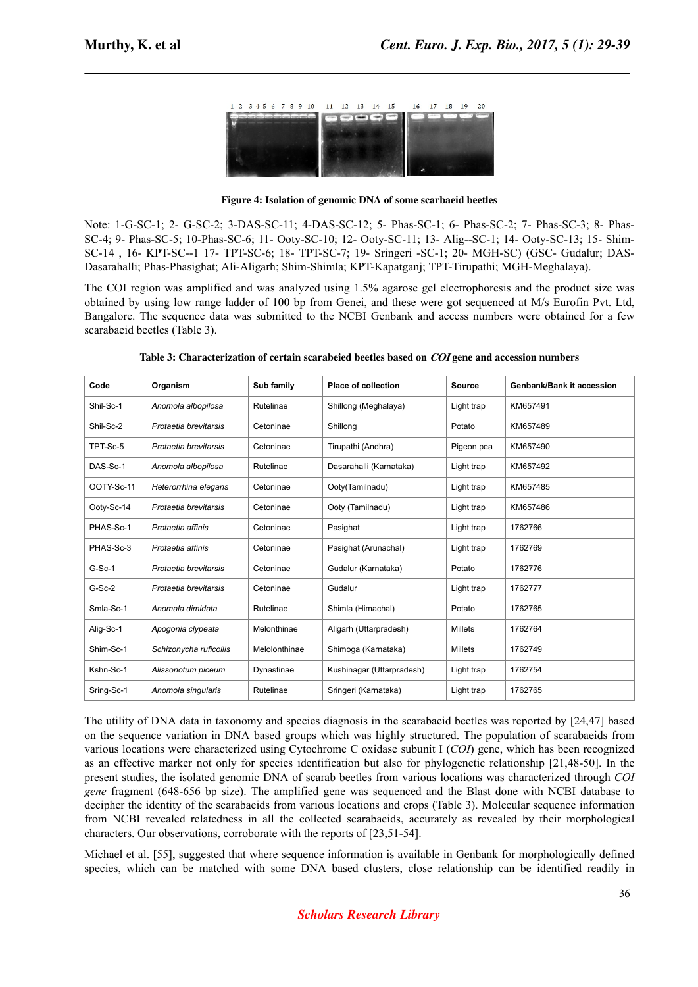| 1 2 3 4 5 6 7 8 9 10 11 12 13 14 15 16 17 18 19 20 |                          |  |  |  |  |
|----------------------------------------------------|--------------------------|--|--|--|--|
| and complex and some beams of                      | <b>Contract Contract</b> |  |  |  |  |
|                                                    |                          |  |  |  |  |
|                                                    |                          |  |  |  |  |
|                                                    |                          |  |  |  |  |
|                                                    |                          |  |  |  |  |

**Figure 4: Isolation of genomic DNA of some scarbaeid beetles**

Note: 1-G-SC-1; 2- G-SC-2; 3-DAS-SC-11; 4-DAS-SC-12; 5- Phas-SC-1; 6- Phas-SC-2; 7- Phas-SC-3; 8- Phas-SC-4; 9- Phas-SC-5; 10-Phas-SC-6; 11- Ooty-SC-10; 12- Ooty-SC-11; 13- Alig--SC-1; 14- Ooty-SC-13; 15- Shim-SC-14 , 16- KPT-SC--1 17- TPT-SC-6; 18- TPT-SC-7; 19- Sringeri -SC-1; 20- MGH-SC) (GSC- Gudalur; DAS-Dasarahalli; Phas-Phasighat; Ali-Aligarh; Shim-Shimla; KPT-Kapatganj; TPT-Tirupathi; MGH-Meghalaya).

The COI region was amplified and was analyzed using 1.5% agarose gel electrophoresis and the product size was obtained by using low range ladder of 100 bp from Genei, and these were got sequenced at M/s Eurofin Pvt. Ltd, Bangalore. The sequence data was submitted to the NCBI Genbank and access numbers were obtained for a few scarabaeid beetles (Table 3).

| Code       | Organism               | Sub family    | <b>Place of collection</b> | <b>Source</b>  | <b>Genbank/Bank it accession</b> |
|------------|------------------------|---------------|----------------------------|----------------|----------------------------------|
| Shil-Sc-1  | Anomola albopilosa     | Rutelinae     | Shillong (Meghalaya)       | Light trap     | KM657491                         |
| Shil-Sc-2  | Protaetia brevitarsis  | Cetoninae     | Shillong                   | Potato         | KM657489                         |
| TPT-Sc-5   | Protaetia brevitarsis  | Cetoninae     | Tirupathi (Andhra)         | Pigeon pea     | KM657490                         |
| DAS-Sc-1   | Anomola albopilosa     | Rutelinae     | Dasarahalli (Karnataka)    | Light trap     | KM657492                         |
| OOTY-Sc-11 | Heterorrhina elegans   | Cetoninae     | Ooty(Tamilnadu)            | Light trap     | KM657485                         |
| Ooty-Sc-14 | Protaetia brevitarsis  | Cetoninae     | Ooty (Tamilnadu)           | Light trap     | KM657486                         |
| PHAS-Sc-1  | Protaetia affinis      | Cetoninae     | Pasighat                   | Light trap     | 1762766                          |
| PHAS-Sc-3  | Protaetia affinis      | Cetoninae     | Pasighat (Arunachal)       | Light trap     | 1762769                          |
| $G-Sc-1$   | Protaetia brevitarsis  | Cetoninae     | Gudalur (Karnataka)        | Potato         | 1762776                          |
| $G-Sc-2$   | Protaetia brevitarsis  | Cetoninae     | Gudalur                    | Light trap     | 1762777                          |
| Smla-Sc-1  | Anomala dimidata       | Rutelinae     | Shimla (Himachal)          | Potato         | 1762765                          |
| Alig-Sc-1  | Apogonia clypeata      | Melonthinae   | Aligarh (Uttarpradesh)     | <b>Millets</b> | 1762764                          |
| Shim-Sc-1  | Schizonycha ruficollis | Melolonthinae | Shimoga (Karnataka)        | <b>Millets</b> | 1762749                          |
| Kshn-Sc-1  | Alissonotum piceum     | Dynastinae    | Kushinagar (Uttarpradesh)  | Light trap     | 1762754                          |
| Sring-Sc-1 | Anomola singularis     | Rutelinae     | Sringeri (Karnataka)       | Light trap     | 1762765                          |

**Table 3: Characterization of certain scarabeied beetles based on COI gene and accession numbers**

The utility of DNA data in taxonomy and species diagnosis in the scarabaeid beetles was reported by [24,47] based on the sequence variation in DNA based groups which was highly structured. The population of scarabaeids from various locations were characterized using Cytochrome C oxidase subunit I (*COI*) gene, which has been recognized as an effective marker not only for species identification but also for phylogenetic relationship [21,48-50]. In the present studies, the isolated genomic DNA of scarab beetles from various locations was characterized through *COI gene* fragment (648-656 bp size). The amplified gene was sequenced and the Blast done with NCBI database to decipher the identity of the scarabaeids from various locations and crops (Table 3). Molecular sequence information from NCBI revealed relatedness in all the collected scarabaeids, accurately as revealed by their morphological characters. Our observations, corroborate with the reports of [23,51-54].

Michael et al. [55], suggested that where sequence information is available in Genbank for morphologically defined species, which can be matched with some DNA based clusters, close relationship can be identified readily in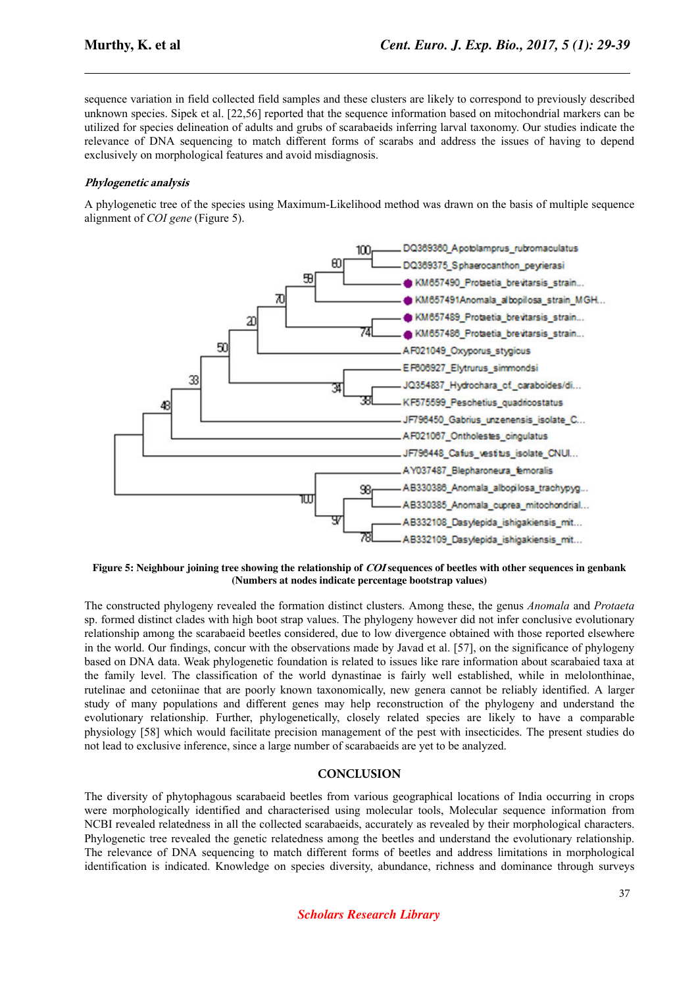sequence variation in field collected field samples and these clusters are likely to correspond to previously described unknown species. Sipek et al. [22,56] reported that the sequence information based on mitochondrial markers can be utilized for species delineation of adults and grubs of scarabaeids inferring larval taxonomy. Our studies indicate the relevance of DNA sequencing to match different forms of scarabs and address the issues of having to depend exclusively on morphological features and avoid misdiagnosis.

## **Phylogenetic analysis**

A phylogenetic tree of the species using Maximum-Likelihood method was drawn on the basis of multiple sequence alignment of *COI gene* (Figure 5).



**Figure 5: Neighbour joining tree showing the relationship of COI sequences of beetles with other sequences in genbank (Numbers at nodes indicate percentage bootstrap values)**

The constructed phylogeny revealed the formation distinct clusters. Among these, the genus *Anomala* and *Protaeta* sp. formed distinct clades with high boot strap values. The phylogeny however did not infer conclusive evolutionary relationship among the scarabaeid beetles considered, due to low divergence obtained with those reported elsewhere in the world. Our findings, concur with the observations made by Javad et al. [57], on the significance of phylogeny based on DNA data. Weak phylogenetic foundation is related to issues like rare information about scarabaied taxa at the family level. The classification of the world dynastinae is fairly well established, while in melolonthinae, rutelinae and cetoniinae that are poorly known taxonomically, new genera cannot be reliably identified. A larger study of many populations and different genes may help reconstruction of the phylogeny and understand the evolutionary relationship. Further, phylogenetically, closely related species are likely to have a comparable physiology [58] which would facilitate precision management of the pest with insecticides. The present studies do not lead to exclusive inference, since a large number of scarabaeids are yet to be analyzed.

## **CONCLUSION**

The diversity of phytophagous scarabaeid beetles from various geographical locations of India occurring in crops were morphologically identified and characterised using molecular tools, Molecular sequence information from NCBI revealed relatedness in all the collected scarabaeids, accurately as revealed by their morphological characters. Phylogenetic tree revealed the genetic relatedness among the beetles and understand the evolutionary relationship. The relevance of DNA sequencing to match different forms of beetles and address limitations in morphological identification is indicated. Knowledge on species diversity, abundance, richness and dominance through surveys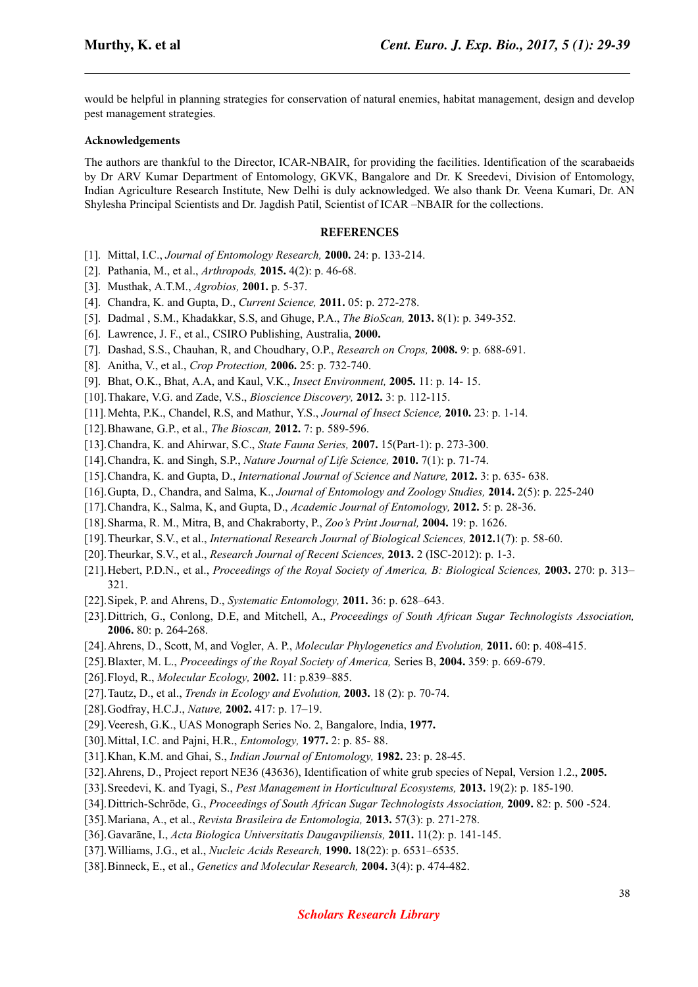would be helpful in planning strategies for conservation of natural enemies, habitat management, design and develop pest management strategies.

#### **Acknowledgements**

The authors are thankful to the Director, ICAR-NBAIR, for providing the facilities. Identification of the scarabaeids by Dr ARV Kumar Department of Entomology, GKVK, Bangalore and Dr. K Sreedevi, Division of Entomology, Indian Agriculture Research Institute, New Delhi is duly acknowledged. We also thank Dr. Veena Kumari, Dr. AN Shylesha Principal Scientists and Dr. Jagdish Patil, Scientist of ICAR –NBAIR for the collections.

#### **REFERENCES**

- [1]. Mittal, I.C., *Journal of Entomology Research,* **2000.** 24: p. 133-214.
- [2]. Pathania, M., et al., *Arthropods,* **2015.** 4(2): p. 46-68.
- [3]. Musthak, A.T.M., *Agrobios,* **2001.** p. 5-37.
- [4]. Chandra, K. and Gupta, D., *Current Science,* **2011.** 05: p. 272-278.
- [5]. Dadmal , S.M., Khadakkar, S.S, and Ghuge, P.A., *The BioScan,* **2013.** 8(1): p. 349-352.
- [6]. Lawrence, J. F., et al., CSIRO Publishing, Australia, **2000.**
- [7]. Dashad, S.S., Chauhan, R, and Choudhary, O.P., *Research on Crops,* **2008.** 9: p. 688-691.
- [8]. Anitha, V., et al., *Crop Protection,* **2006.** 25: p. 732-740.
- [9]. Bhat, O.K., Bhat, A.A, and Kaul, V.K., *Insect Environment,* **2005.** 11: p. 14- 15.
- [10].Thakare, V.G. and Zade, V.S., *Bioscience Discovery,* **2012.** 3: p. 112-115.
- [11].Mehta, P.K., Chandel, R.S, and Mathur, Y.S., *Journal of Insect Science,* **2010.** 23: p. 1-14.
- [12].Bhawane, G.P., et al., *The Bioscan,* **2012.** 7: p. 589-596.
- [13].Chandra, K. and Ahirwar, S.C., *State Fauna Series,* **2007.** 15(Part-1): p. 273-300.
- [14].Chandra, K. and Singh, S.P., *Nature Journal of Life Science,* **2010.** 7(1): p. 71-74.
- [15].Chandra, K. and Gupta, D., *International Journal of Science and Nature,* **2012.** 3: p. 635- 638.
- [16].Gupta, D., Chandra, and Salma, K., *Journal of Entomology and Zoology Studies,* **2014.** 2(5): p. 225-240
- [17].Chandra, K., Salma, K, and Gupta, D., *Academic Journal of Entomology,* **2012.** 5: p. 28-36.
- [18].Sharma, R. M., Mitra, B, and Chakraborty, P., *Zoo's Print Journal,* **2004.** 19: p. 1626.
- [19].Theurkar, S.V., et al., *International Research Journal of Biological Sciences,* **2012.**1(7): p. 58-60.
- [20].Theurkar, S.V., et al., *Research Journal of Recent Sciences,* **2013.** 2 (ISC-2012): p. 1-3.
- [21].Hebert, P.D.N., et al., *Proceedings of the Royal Society of America, B: Biological Sciences,* **2003.** 270: p. 313– 321.
- [22].Sipek, P. and Ahrens, D., *Systematic Entomology,* **2011.** 36: p. 628–643.
- [23].Dittrich, G., Conlong, D.E, and Mitchell, A., *Proceedings of South African Sugar Technologists Association,* **2006.** 80: p. 264-268.
- [24].Ahrens, D., Scott, M, and Vogler, A. P., *Molecular Phylogenetics and Evolution,* **2011.** 60: p. 408-415.
- [25].Blaxter, M. L., *Proceedings of the Royal Society of America,* Series B, **2004.** 359: p. 669-679.
- [26].Floyd, R., *Molecular Ecology,* **2002.** 11: p.839–885.
- [27].Tautz, D., et al., *Trends in Ecology and Evolution,* **2003.** 18 (2): p. 70-74.
- [28].Godfray, H.C.J., *Nature,* **2002.** 417: p. 17–19.
- [29].Veeresh, G.K., UAS Monograph Series No. 2, Bangalore, India, **1977.**
- [30].Mittal, I.C. and Pajni, H.R., *Entomology,* **1977.** 2: p. 85- 88.
- [31].Khan, K.M. and Ghai, S., *Indian Journal of Entomology,* **1982.** 23: p. 28-45.
- [32].Ahrens, D., Project report NE36 (43636), Identification of white grub species of Nepal, Version 1.2., **2005.**
- [33].Sreedevi, K. and Tyagi, S., *Pest Management in Horticultural Ecosystems,* **2013.** 19(2): p. 185-190.
- [34].Dittrich-Schröde, G., *Proceedings of South African Sugar Technologists Association,* **2009.** 82: p. 500 -524.
- [35].Mariana, A., et al., *Revista Brasileira de Entomologia,* **2013.** 57(3): p. 271-278.
- [36].Gavarāne, I., *Acta Biologica Universitatis Daugavpiliensis,* **2011.** 11(2): p. 141-145.
- [37].Williams, J.G., et al., *Nucleic Acids Research,* **1990.** 18(22): p. 6531–6535.
- [38].Binneck, E., et al., *Genetics and Molecular Research,* **2004.** 3(4): p. 474-482.